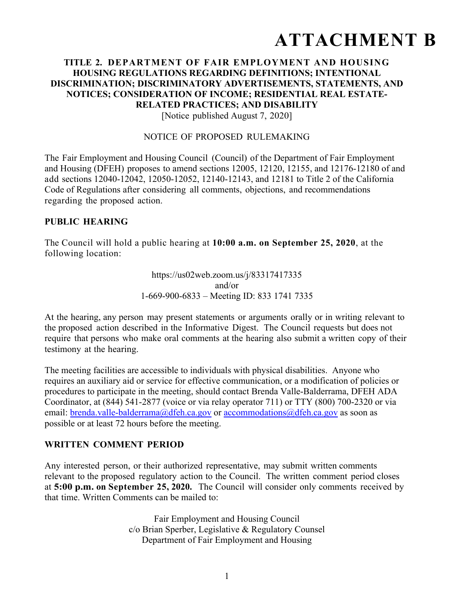# **ATTACHMENT B**

## **TITLE 2. DEPARTMENT OF FAIR EMPLOYMENT AND HOUSING HOUSING REGULATIONS REGARDING DEFINITIONS; INTENTIONAL DISCRIMINATION; DISCRIMINATORY ADVERTISEMENTS, STATEMENTS, AND NOTICES; CONSIDERATION OF INCOME; RESIDENTIAL REAL ESTATE-RELATED PRACTICES; AND DISABILITY**

[Notice published August 7, 2020]

#### NOTICE OF PROPOSED RULEMAKING

The Fair Employment and Housing Council (Council) of the Department of Fair Employment and Housing (DFEH) proposes to amend sections 12005, 12120, 12155, and 12176-12180 of and add sections 12040-12042, 12050-12052, 12140-12143, and 12181 to Title 2 of the California Code of Regulations after considering all comments, objections, and recommendations regarding the proposed action.

## **PUBLIC HEARING**

The Council will hold a public hearing at **10:00 a.m. on September 25, 2020**, at the following location:

> https://us02web.zoom.us/j/83317417335 and/or 1-669-900-6833 – Meeting ID: 833 1741 7335

At the hearing, any person may present statements or arguments orally or in writing relevant to the proposed action described in the Informative Digest. The Council requests but does not require that persons who make oral comments at the hearing also submit a written copy of their testimony at the hearing.

The meeting facilities are accessible to individuals with physical disabilities. Anyone who requires an auxiliary aid or service for effective communication, or a modification of policies or procedures to participate in the meeting, should contact Brenda Valle-Balderrama, DFEH ADA Coordinator, at (844) 541-2877 (voice or via relay operator 711) or TTY (800) 700-2320 or via email: brenda.valle-balderrama@dfeh.ca.gov or accommodations@dfeh.ca.gov as soon as possible or at least 72 hours before the meeting.

## **WRITTEN COMMENT PERIOD**

Any interested person, or their authorized representative, may submit written comments relevant to the proposed regulatory action to the Council. The written comment period closes at **5:00 p.m. on September 25, 2020.** The Council will consider only comments received by that time. Written Comments can be mailed to:

> Fair Employment and Housing Council c/o Brian Sperber, Legislative & Regulatory Counsel Department of Fair Employment and Housing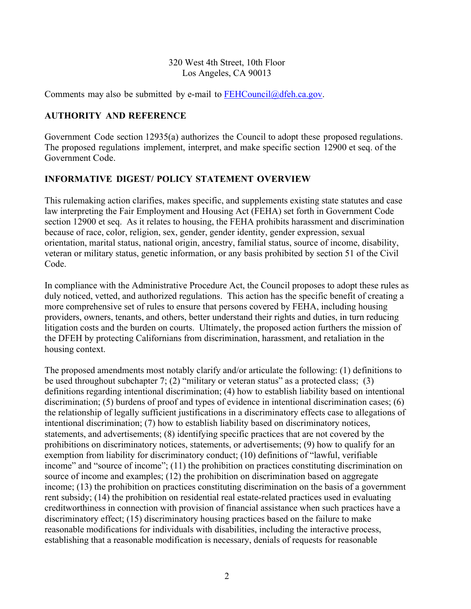## 320 West 4th Street, 10th Floor Los Angeles, CA 90013

Comments may also be submitted by e-mail to  $FEHCouncil@dfeh.ca.gov$ .

## **AUTHORITY AND REFERENCE**

Government Code section 12935(a) authorizes the Council to adopt these proposed regulations. The proposed regulations implement, interpret, and make specific section 12900 et seq. of the Government Code.

## **INFORMATIVE DIGEST/ POLICY STATEMENT OVERVIEW**

This rulemaking action clarifies, makes specific, and supplements existing state statutes and case law interpreting the Fair Employment and Housing Act (FEHA) set forth in Government Code section 12900 et seq. As it relates to housing, the FEHA prohibits harassment and discrimination because of race, color, religion, sex, gender, gender identity, gender expression, sexual orientation, marital status, national origin, ancestry, familial status, source of income, disability, veteran or military status, genetic information, or any basis prohibited by section 51 of the Civil Code.

In compliance with the Administrative Procedure Act, the Council proposes to adopt these rules as duly noticed, vetted, and authorized regulations. This action has the specific benefit of creating a more comprehensive set of rules to ensure that persons covered by FEHA, including housing providers, owners, tenants, and others, better understand their rights and duties, in turn reducing litigation costs and the burden on courts. Ultimately, the proposed action furthers the mission of the DFEH by protecting Californians from discrimination, harassment, and retaliation in the housing context.

The proposed amendments most notably clarify and/or articulate the following: (1) definitions to be used throughout subchapter 7; (2) "military or veteran status" as a protected class; (3) definitions regarding intentional discrimination; (4) how to establish liability based on intentional discrimination; (5) burdens of proof and types of evidence in intentional discrimination cases; (6) the relationship of legally sufficient justifications in a discriminatory effects case to allegations of intentional discrimination; (7) how to establish liability based on discriminatory notices, statements, and advertisements; (8) identifying specific practices that are not covered by the prohibitions on discriminatory notices, statements, or advertisements; (9) how to qualify for an exemption from liability for discriminatory conduct; (10) definitions of "lawful, verifiable income" and "source of income"; (11) the prohibition on practices constituting discrimination on source of income and examples; (12) the prohibition on discrimination based on aggregate income; (13) the prohibition on practices constituting discrimination on the basis of a government rent subsidy; (14) the prohibition on residential real estate-related practices used in evaluating creditworthiness in connection with provision of financial assistance when such practices have a discriminatory effect; (15) discriminatory housing practices based on the failure to make reasonable modifications for individuals with disabilities, including the interactive process, establishing that a reasonable modification is necessary, denials of requests for reasonable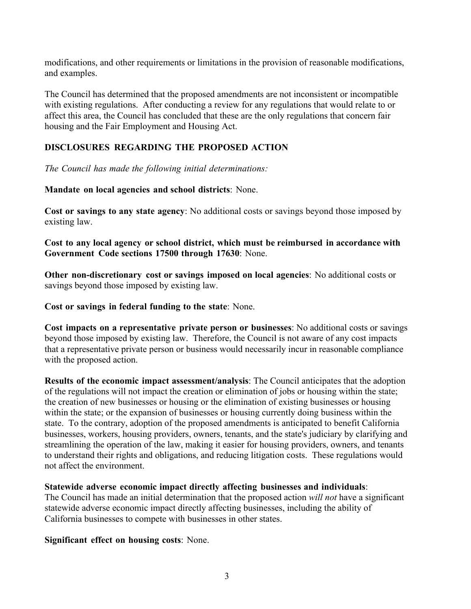modifications, and other requirements or limitations in the provision of reasonable modifications, and examples.

The Council has determined that the proposed amendments are not inconsistent or incompatible with existing regulations. After conducting a review for any regulations that would relate to or affect this area, the Council has concluded that these are the only regulations that concern fair housing and the Fair Employment and Housing Act.

## **DISCLOSURES REGARDING THE PROPOSED ACTION**

*The Council has made the following initial determinations:* 

#### **Mandate on local agencies and school districts**: None.

**Cost or savings to any state agency**: No additional costs or savings beyond those imposed by existing law.

**Cost to any local agency or school district, which must be reimbursed in accordance with Government Code sections 17500 through 17630**: None.

**Other non-discretionary cost or savings imposed on local agencies**: No additional costs or savings beyond those imposed by existing law.

**Cost or savings in federal funding to the state**: None.

**Cost impacts on a representative private person or businesses**: No additional costs or savings beyond those imposed by existing law. Therefore, the Council is not aware of any cost impacts that a representative private person or business would necessarily incur in reasonable compliance with the proposed action.

**Results of the economic impact assessment/analysis**: The Council anticipates that the adoption of the regulations will not impact the creation or elimination of jobs or housing within the state; the creation of new businesses or housing or the elimination of existing businesses or housing within the state; or the expansion of businesses or housing currently doing business within the state. To the contrary, adoption of the proposed amendments is anticipated to benefit California businesses, workers, housing providers, owners, tenants, and the state's judiciary by clarifying and streamlining the operation of the law, making it easier for housing providers, owners, and tenants to understand their rights and obligations, and reducing litigation costs. These regulations would not affect the environment.

#### **Statewide adverse economic impact directly affecting businesses and individuals**:

The Council has made an initial determination that the proposed action *will not* have a significant statewide adverse economic impact directly affecting businesses, including the ability of California businesses to compete with businesses in other states.

**Significant effect on housing costs**: None.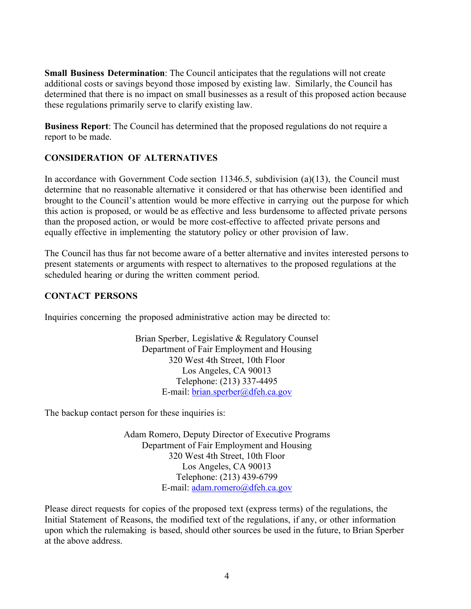**Small Business Determination**: The Council anticipates that the regulations will not create additional costs or savings beyond those imposed by existing law. Similarly, the Council has determined that there is no impact on small businesses as a result of this proposed action because these regulations primarily serve to clarify existing law.

**Business Report**: The Council has determined that the proposed regulations do not require a report to be made.

## **CONSIDERATION OF ALTERNATIVES**

In accordance with Government Code section 11346.5, subdivision (a)(13), the Council must determine that no reasonable alternative it considered or that has otherwise been identified and brought to the Council's attention would be more effective in carrying out the purpose for which this action is proposed, or would be as effective and less burdensome to affected private persons than the proposed action, or would be more cost-effective to affected private persons and equally effective in implementing the statutory policy or other provision of law.

The Council has thus far not become aware of a better alternative and invites interested persons to present statements or arguments with respect to alternatives to the proposed regulations at the scheduled hearing or during the written comment period.

## **CONTACT PERSONS**

Inquiries concerning the proposed administrative action may be directed to:

Brian Sperber, Legislative & Regulatory Counsel Department of Fair Employment and Housing 320 West 4th Street, 10th Floor Los Angeles, CA 90013 Telephone: (213) 337-4495 E-mail: brian.sperber@dfeh.ca.gov

The backup contact person for these inquiries is:

Adam Romero, Deputy Director of Executive Programs Department of Fair Employment and Housing 320 West 4th Street, 10th Floor Los Angeles, CA 90013 Telephone: (213) 439-6799 E-mail: adam.romero@dfeh.ca.gov

Please direct requests for copies of the proposed text (express terms) of the regulations, the Initial Statement of Reasons, the modified text of the regulations, if any, or other information upon which the rulemaking is based, should other sources be used in the future, to Brian Sperber at the above address.